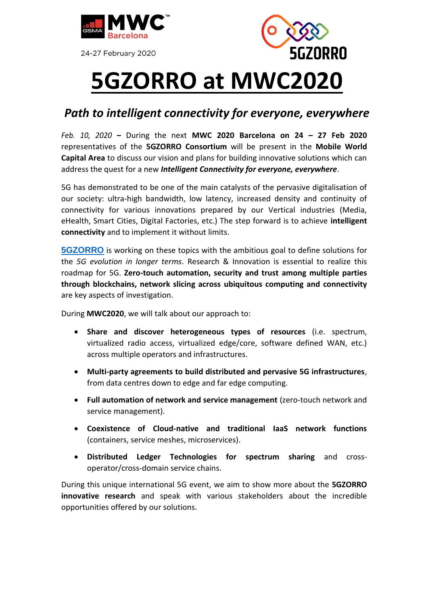

24-27 February 2020



## **5GZORRO at MWC2020**

## *Path to intelligent connectivity for everyone, everywhere*

*Feb. 10, 2020* **–** During the next **MWC 2020 Barcelona on 24 – 27 Feb 2020** representatives of the **5GZORRO Consortium** will be present in the **Mobile World Capital Area** to discuss our vision and plans for building innovative solutions which can address the quest for a new *Intelligent Connectivity for everyone, everywhere*.

5G has demonstrated to be one of the main catalysts of the pervasive digitalisation of our society: ultra-high bandwidth, low latency, increased density and continuity of connectivity for various innovations prepared by our Vertical industries (Media, eHealth, Smart Cities, Digital Factories, etc.) The step forward is to achieve **intelligent connectivity** and to implement it without limits.

**[5GZORRO](https://www.5gzorro.eu/)** is working on these topics with the ambitious goal to define solutions for the *5G evolution in longer terms*. Research & Innovation is essential to realize this roadmap for 5G. **Zero-touch automation, security and trust among multiple parties through blockchains, network slicing across ubiquitous computing and connectivity**  are key aspects of investigation.

During **MWC2020**, we will talk about our approach to:

- **Share and discover heterogeneous types of resources** (i.e. spectrum, virtualized radio access, virtualized edge/core, software defined WAN, etc.) across multiple operators and infrastructures.
- **Multi-party agreements to build distributed and pervasive 5G infrastructures**, from data centres down to edge and far edge computing.
- **Full automation of network and service management** (zero-touch network and service management).
- **Coexistence of Cloud-native and traditional IaaS network functions** (containers, service meshes, microservices).
- **Distributed Ledger Technologies for spectrum sharing** and crossoperator/cross-domain service chains.

During this unique international 5G event, we aim to show more about the **5GZORRO innovative research** and speak with various stakeholders about the incredible opportunities offered by our solutions.